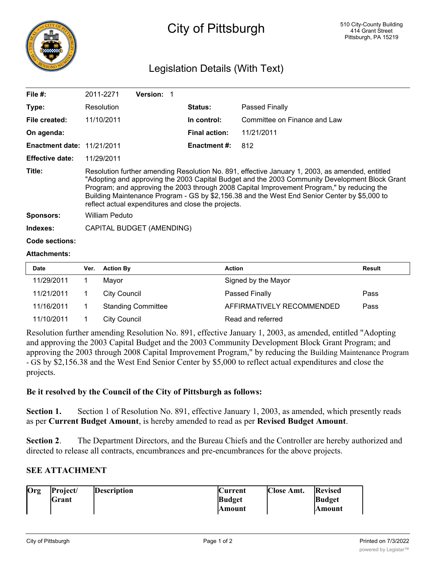

# City of Pittsburgh

## Legislation Details (With Text)

| File $#$ :                        | 2011-2271                                                                                                                                                                                                                                                                                                                                                                                                                                              | Version: 1                |                      |                              |  |
|-----------------------------------|--------------------------------------------------------------------------------------------------------------------------------------------------------------------------------------------------------------------------------------------------------------------------------------------------------------------------------------------------------------------------------------------------------------------------------------------------------|---------------------------|----------------------|------------------------------|--|
| Type:                             | Resolution                                                                                                                                                                                                                                                                                                                                                                                                                                             |                           | <b>Status:</b>       | Passed Finally               |  |
| File created:                     | 11/10/2011                                                                                                                                                                                                                                                                                                                                                                                                                                             |                           | In control:          | Committee on Finance and Law |  |
| On agenda:                        |                                                                                                                                                                                                                                                                                                                                                                                                                                                        |                           | <b>Final action:</b> | 11/21/2011                   |  |
| <b>Enactment date: 11/21/2011</b> |                                                                                                                                                                                                                                                                                                                                                                                                                                                        |                           | <b>Enactment #:</b>  | 812                          |  |
| <b>Effective date:</b>            | 11/29/2011                                                                                                                                                                                                                                                                                                                                                                                                                                             |                           |                      |                              |  |
| Title:                            | Resolution further amending Resolution No. 891, effective January 1, 2003, as amended, entitled<br>"Adopting and approving the 2003 Capital Budget and the 2003 Community Development Block Grant<br>Program; and approving the 2003 through 2008 Capital Improvement Program," by reducing the<br>Building Maintenance Program - GS by \$2,156.38 and the West End Senior Center by \$5,000 to<br>reflect actual expenditures and close the projects. |                           |                      |                              |  |
| <b>Sponsors:</b>                  | William Peduto                                                                                                                                                                                                                                                                                                                                                                                                                                         |                           |                      |                              |  |
| Indexes:                          |                                                                                                                                                                                                                                                                                                                                                                                                                                                        | CAPITAL BUDGET (AMENDING) |                      |                              |  |
| Code sections:                    |                                                                                                                                                                                                                                                                                                                                                                                                                                                        |                           |                      |                              |  |
| <b>Attachments:</b>               |                                                                                                                                                                                                                                                                                                                                                                                                                                                        |                           |                      |                              |  |
| <b>Date</b>                       | <b>Action By</b><br>Ver.                                                                                                                                                                                                                                                                                                                                                                                                                               |                           | <b>Action</b>        | <b>Result</b>                |  |

| Date       | Ver. | <b>Action By</b>          | <b>Action</b>             | <b>Result</b> |
|------------|------|---------------------------|---------------------------|---------------|
| 11/29/2011 |      | Mavor                     | Signed by the Mayor       |               |
| 11/21/2011 |      | City Council              | Passed Finally            | Pass          |
| 11/16/2011 |      | <b>Standing Committee</b> | AFFIRMATIVELY RECOMMENDED | Pass          |
| 11/10/2011 |      | City Council              | Read and referred         |               |

Resolution further amending Resolution No. 891, effective January 1, 2003, as amended, entitled "Adopting and approving the 2003 Capital Budget and the 2003 Community Development Block Grant Program; and approving the 2003 through 2008 Capital Improvement Program," by reducing the Building Maintenance Program - GS by \$2,156.38 and the West End Senior Center by \$5,000 to reflect actual expenditures and close the projects.

### **Be it resolved by the Council of the City of Pittsburgh as follows:**

Section 1. Section 1 of Resolution No. 891, effective January 1, 2003, as amended, which presently reads as per **Current Budget Amount**, is hereby amended to read as per **Revised Budget Amount**.

**Section 2**. The Department Directors, and the Bureau Chiefs and the Controller are hereby authorized and directed to release all contracts, encumbrances and pre-encumbrances for the above projects.

### **SEE ATTACHMENT**

| Org | Project/ | <b>Description</b> | <b>Current</b> | <b>Close Amt.</b> | <b>Revised</b> |
|-----|----------|--------------------|----------------|-------------------|----------------|
|     | Grant    |                    | <b>Budget</b>  |                   | <b>Budget</b>  |
|     |          |                    | <b>Amount</b>  |                   | lAmount        |